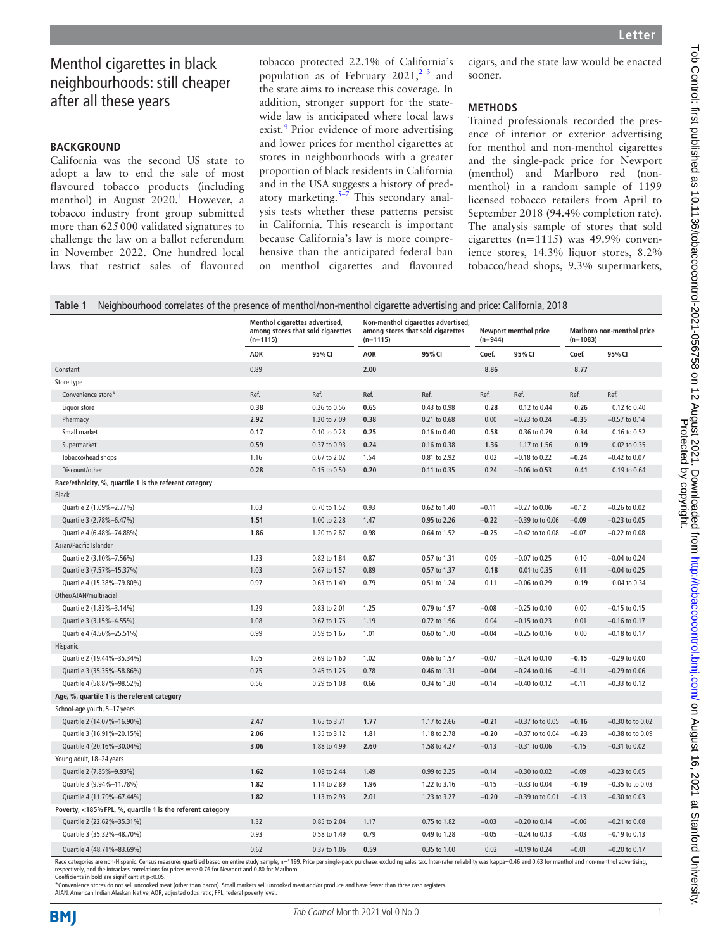# Menthol cigarettes in black neighbourhoods: still cheaper after all these years

# **BACKGROUND**

California was the second US state to adopt a law to end the sale of most flavoured tobacco products (including menthol) in August 2020.<sup>1</sup> However, a tobacco industry front group submitted more than 625000 validated signatures to challenge the law on a ballot referendum in November 2022. One hundred local laws that restrict sales of flavoured

tobacco protected 22.1% of California's population as of February  $2021$ ,  $2^3$  and the state aims to increase this coverage. In addition, stronger support for the statewide law is anticipated where local laws exist.<sup>4</sup> Prior evidence of more advertising and lower prices for menthol cigarettes at stores in neighbourhoods with a greater proportion of black residents in California and in the USA suggests a history of predatory marketing. $5\overline{-7}$  This secondary analysis tests whether these patterns persist in California. This research is important because California's law is more comprehensive than the anticipated federal ban on menthol cigarettes and flavoured

cigars, and the state law would be enacted sooner.

## **METHODS**

Trained professionals recorded the presence of interior or exterior advertising for menthol and non-menthol cigarettes and the single-pack price for Newport (menthol) and Marlboro red (nonmenthol) in a random sample of 1199 licensed tobacco retailers from April to September 2018 (94.4% completion rate). The analysis sample of stores that sold cigarettes (n=1115) was 49.9% convenience stores, 14.3% liquor stores, 8.2% tobacco/head shops, 9.3% supermarkets,

| Neighbourhood correlates of the presence of menthol/non-menthol cigarette advertising and price: California, 2018<br>Table 1                                                                                                   |                                                                                   |              |                                                                                       |              |                                    |                      |                                          |                      |
|--------------------------------------------------------------------------------------------------------------------------------------------------------------------------------------------------------------------------------|-----------------------------------------------------------------------------------|--------------|---------------------------------------------------------------------------------------|--------------|------------------------------------|----------------------|------------------------------------------|----------------------|
|                                                                                                                                                                                                                                | Menthol cigarettes advertised,<br>among stores that sold cigarettes<br>$(n=1115)$ |              | Non-menthol cigarettes advertised,<br>among stores that sold cigarettes<br>$(n=1115)$ |              | Newport menthol price<br>$(n=944)$ |                      | Marlboro non-menthol price<br>$(n=1083)$ |                      |
|                                                                                                                                                                                                                                | <b>AOR</b>                                                                        | 95% CI       | <b>AOR</b>                                                                            | 95% CI       | Coef.                              | 95% CI               | Coef.                                    | 95% CI               |
| Constant                                                                                                                                                                                                                       | 0.89                                                                              |              | 2.00                                                                                  |              | 8.86                               |                      | 8.77                                     |                      |
| Store type                                                                                                                                                                                                                     |                                                                                   |              |                                                                                       |              |                                    |                      |                                          |                      |
| Convenience store*                                                                                                                                                                                                             | Ref.                                                                              | Ref.         | Ref.                                                                                  | Ref.         | Ref.                               | Ref.                 | Ref.                                     | Ref.                 |
| Liquor store                                                                                                                                                                                                                   | 0.38                                                                              | 0.26 to 0.56 | 0.65                                                                                  | 0.43 to 0.98 | 0.28                               | 0.12 to 0.44         | 0.26                                     | 0.12 to 0.40         |
| Pharmacy                                                                                                                                                                                                                       | 2.92                                                                              | 1.20 to 7.09 | 0.38                                                                                  | 0.21 to 0.68 | 0.00                               | $-0.23$ to 0.24      | $-0.35$                                  | $-0.57$ to 0.14      |
| Small market                                                                                                                                                                                                                   | 0.17                                                                              | 0.10 to 0.28 | 0.25                                                                                  | 0.16 to 0.40 | 0.58                               | 0.36 to 0.79         | 0.34                                     | 0.16 to 0.52         |
| Supermarket                                                                                                                                                                                                                    | 0.59                                                                              | 0.37 to 0.93 | 0.24                                                                                  | 0.16 to 0.38 | 1.36                               | 1.17 to 1.56         | 0.19                                     | 0.02 to 0.35         |
| Tobacco/head shops                                                                                                                                                                                                             | 1.16                                                                              | 0.67 to 2.02 | 1.54                                                                                  | 0.81 to 2.92 | 0.02                               | $-0.18$ to 0.22      | $-0.24$                                  | $-0.42$ to $0.07$    |
| Discount/other                                                                                                                                                                                                                 | 0.28                                                                              | 0.15 to 0.50 | 0.20                                                                                  | 0.11 to 0.35 | 0.24                               | $-0.06$ to 0.53      | 0.41                                     | 0.19 to 0.64         |
| Race/ethnicity, %, quartile 1 is the referent category                                                                                                                                                                         |                                                                                   |              |                                                                                       |              |                                    |                      |                                          |                      |
| <b>Black</b>                                                                                                                                                                                                                   |                                                                                   |              |                                                                                       |              |                                    |                      |                                          |                      |
| Quartile 2 (1.09%-2.77%)                                                                                                                                                                                                       | 1.03                                                                              | 0.70 to 1.52 | 0.93                                                                                  | 0.62 to 1.40 | $-0.11$                            | $-0.27$ to 0.06      | $-0.12$                                  | $-0.26$ to $0.02$    |
| Quartile 3 (2.78%-6.47%)                                                                                                                                                                                                       | 1.51                                                                              | 1.00 to 2.28 | 1.47                                                                                  | 0.95 to 2.26 | $-0.22$                            | $-0.39$ to to $0.06$ | $-0.09$                                  | $-0.23$ to $0.05$    |
| Quartile 4 (6.48%-74.88%)                                                                                                                                                                                                      | 1.86                                                                              | 1.20 to 2.87 | 0.98                                                                                  | 0.64 to 1.52 | $-0.25$                            | $-0.42$ to to $0.08$ | $-0.07$                                  | $-0.22$ to $0.08$    |
| Asian/Pacific Islander                                                                                                                                                                                                         |                                                                                   |              |                                                                                       |              |                                    |                      |                                          |                      |
| Quartile 2 (3.10%-7.56%)                                                                                                                                                                                                       | 1.23                                                                              | 0.82 to 1.84 | 0.87                                                                                  | 0.57 to 1.31 | 0.09                               | $-0.07$ to 0.25      | 0.10                                     | $-0.04$ to 0.24      |
| Quartile 3 (7.57%-15.37%)                                                                                                                                                                                                      | 1.03                                                                              | 0.67 to 1.57 | 0.89                                                                                  | 0.57 to 1.37 | 0.18                               | 0.01 to 0.35         | 0.11                                     | $-0.04$ to 0.25      |
| Quartile 4 (15.38%-79.80%)                                                                                                                                                                                                     | 0.97                                                                              | 0.63 to 1.49 | 0.79                                                                                  | 0.51 to 1.24 | 0.11                               | $-0.06$ to 0.29      | 0.19                                     | 0.04 to 0.34         |
| Other/AIAN/multiracial                                                                                                                                                                                                         |                                                                                   |              |                                                                                       |              |                                    |                      |                                          |                      |
| Quartile 2 (1.83%-3.14%)                                                                                                                                                                                                       | 1.29                                                                              | 0.83 to 2.01 | 1.25                                                                                  | 0.79 to 1.97 | $-0.08$                            | $-0.25$ to 0.10      | 0.00                                     | $-0.15$ to 0.15      |
| Quartile 3 (3.15%-4.55%)                                                                                                                                                                                                       | 1.08                                                                              | 0.67 to 1.75 | 1.19                                                                                  | 0.72 to 1.96 | 0.04                               | $-0.15$ to 0.23      | 0.01                                     | $-0.16$ to $0.17$    |
| Quartile 4 (4.56%-25.51%)                                                                                                                                                                                                      | 0.99                                                                              | 0.59 to 1.65 | 1.01                                                                                  | 0.60 to 1.70 | $-0.04$                            | $-0.25$ to 0.16      | 0.00                                     | $-0.18$ to 0.17      |
| Hispanic                                                                                                                                                                                                                       |                                                                                   |              |                                                                                       |              |                                    |                      |                                          |                      |
| Quartile 2 (19.44%-35.34%)                                                                                                                                                                                                     | 1.05                                                                              | 0.69 to 1.60 | 1.02                                                                                  | 0.66 to 1.57 | $-0.07$                            | $-0.24$ to 0.10      | $-0.15$                                  | $-0.29$ to $0.00$    |
| Quartile 3 (35.35%-58.86%)                                                                                                                                                                                                     | 0.75                                                                              | 0.45 to 1.25 | 0.78                                                                                  | 0.46 to 1.31 | $-0.04$                            | $-0.24$ to 0.16      | $-0.11$                                  | $-0.29$ to $0.06$    |
| Quartile 4 (58.87%-98.52%)                                                                                                                                                                                                     | 0.56                                                                              | 0.29 to 1.08 | 0.66                                                                                  | 0.34 to 1.30 | $-0.14$                            | $-0.40$ to 0.12      | $-0.11$                                  | $-0.33$ to $0.12$    |
| Age, %, quartile 1 is the referent category                                                                                                                                                                                    |                                                                                   |              |                                                                                       |              |                                    |                      |                                          |                      |
| School-age youth, 5-17 years                                                                                                                                                                                                   |                                                                                   |              |                                                                                       |              |                                    |                      |                                          |                      |
| Quartile 2 (14.07%-16.90%)                                                                                                                                                                                                     | 2.47                                                                              | 1.65 to 3.71 | 1.77                                                                                  | 1.17 to 2.66 | $-0.21$                            | $-0.37$ to to 0.05   | $-0.16$                                  | $-0.30$ to to $0.02$ |
| Quartile 3 (16.91%-20.15%)                                                                                                                                                                                                     | 2.06                                                                              | 1.35 to 3.12 | 1.81                                                                                  | 1.18 to 2.78 | $-0.20$                            | $-0.37$ to to 0.04   | $-0.23$                                  | $-0.38$ to to $0.09$ |
| Quartile 4 (20.16%-30.04%)                                                                                                                                                                                                     | 3.06                                                                              | 1.88 to 4.99 | 2.60                                                                                  | 1.58 to 4.27 | $-0.13$                            | $-0.31$ to $0.06$    | $-0.15$                                  | $-0.31$ to $0.02$    |
| Young adult, 18-24 years                                                                                                                                                                                                       |                                                                                   |              |                                                                                       |              |                                    |                      |                                          |                      |
| Quartile 2 (7.85%-9.93%)                                                                                                                                                                                                       | 1.62                                                                              | 1.08 to 2.44 | 1.49                                                                                  | 0.99 to 2.25 | $-0.14$                            | $-0.30$ to $0.02$    | $-0.09$                                  | $-0.23$ to $0.05$    |
| Quartile 3 (9.94%-11.78%)                                                                                                                                                                                                      | 1.82                                                                              | 1.14 to 2.89 | 1.96                                                                                  | 1.22 to 3.16 | $-0.15$                            | $-0.33$ to 0.04      | $-0.19$                                  | $-0.35$ to to $0.03$ |
| Quartile 4 (11.79%-67.44%)                                                                                                                                                                                                     | 1.82                                                                              | 1.13 to 2.93 | 2.01                                                                                  | 1.23 to 3.27 | $-0.20$                            | $-0.39$ to to 0.01   | $-0.13$                                  | $-0.30$ to $0.03$    |
| Poverty, <185% FPL, %, quartile 1 is the referent category                                                                                                                                                                     |                                                                                   |              |                                                                                       |              |                                    |                      |                                          |                      |
| Quartile 2 (22.62%-35.31%)                                                                                                                                                                                                     | 1.32                                                                              | 0.85 to 2.04 | 1.17                                                                                  | 0.75 to 1.82 | $-0.03$                            | $-0.20$ to 0.14      | $-0.06$                                  | $-0.21$ to $0.08$    |
| Quartile 3 (35.32%-48.70%)                                                                                                                                                                                                     | 0.93                                                                              | 0.58 to 1.49 | 0.79                                                                                  | 0.49 to 1.28 | $-0.05$                            | $-0.24$ to 0.13      | $-0.03$                                  | $-0.19$ to 0.13      |
| Quartile 4 (48.71%-83.69%)                                                                                                                                                                                                     | 0.62                                                                              | 0.37 to 1.06 | 0.59                                                                                  | 0.35 to 1.00 | 0.02                               | $-0.19$ to 0.24      | $-0.01$                                  | $-0.20$ to 0.17      |
| Race estatements, and Blistophic Consum magnuscus quantiled based on ontice study cample n=1100. Rrice per inde pack purchase avaluation calor tay, Inter rates reliability use kann=0.46 and 0.62 for monthol and non-monthol |                                                                                   |              |                                                                                       |              |                                    |                      |                                          |                      |

Race categories are non-Hispanic. Census measures quartiled based on entire study sample, n=1199. Price per single-pack purchase, excluding sales tax. Inter-rater reliability was kappa=0.46 and 0.63 for menthol and non-men respectively, and the intraclass correlations for prices were 0.76 for Newport and 0.80 for Marlboro. Coefficients in bold are significant at p<0.05.

\*Convenience stores do not sell uncooked meat (other than bacon). Small markets sell uncooked meat and/or produce and have fewer than three cash registers.

AIAN, American Indian Alaskan Native; AOR, adjusted odds ratio; FPL, federal poverty level.